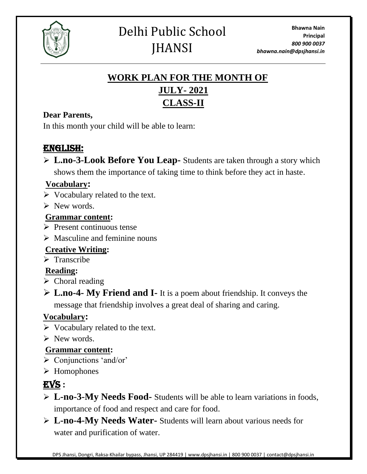

# Delhi Public School **JHANSI**

# **WORK PLAN FOR THE MONTH OF JULY- 2021 CLASS-II**

#### **Dear Parents,**

In this month your child will be able to learn:

### ENGLISH:

➢ **L.no-3-Look Before You Leap-** Students are taken through a story which shows them the importance of taking time to think before they act in haste.

#### **Vocabulary:**

- $\triangleright$  Vocabulary related to the text.
- $\triangleright$  New words.

#### **Grammar content:**

- ➢ Present continuous tense
- $\triangleright$  Masculine and feminine nouns

### **Creative Writing:**

➢ Transcribe

#### **Reading:**

- ➢ Choral reading
- ➢ **L.no-4- My Friend and I-** It is a poem about friendship. It conveys the message that friendship involves a great deal of sharing and caring.

#### **Vocabulary:**

- ➢ Vocabulary related to the text.
- $\triangleright$  New words.

#### **Grammar content:**

- ➢ Conjunctions 'and/or'
- ➢ Homophones

# EVS **:**

- ➢ **L-no-3-My Needs Food-** Students will be able to learn variations in foods, importance of food and respect and care for food.
- ➢ **L-no-4-My Needs Water-** Students will learn about various needs for water and purification of water.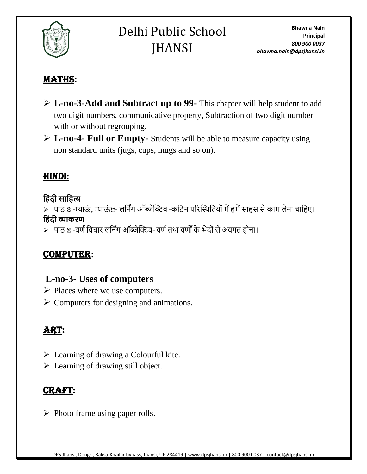

## MATHS**:**

- ➢ **L-no-3-Add and Subtract up to 99-** This chapter will help student to add two digit numbers, communicative property, Subtraction of two digit number with or without regrouping.
- ➢ **L-no-4- Full or Empty-** Students will be able to measure capacity using non standard units (jugs, cups, mugs and so on).

### HINDI:

#### **ह िंदी साह त्य**

≻ पाठ 3 -म्याऊं, म्याऊं!!- लर्निंग ऑब्जेक्टिव -कठिन परिस्थितियों में हमें साहस से काम लेना चाहिए। **ह िंदी व्याकरण**

➢ पाठ 2 -वर्णर्वचाि लर्निंग ऑब्जेक्टिव- वर्णििा वर्ों के भेद ंसेअवगि ह ना।

### COMPUTER**:**

#### **L-no-3- Uses of computers**

- ➢ Places where we use computers.
- $\triangleright$  Computers for designing and animations.

## Art:

- ➢ Learning of drawing a Colourful kite.
- $\triangleright$  Learning of drawing still object.

## **CRAFT**

➢ Photo frame using paper rolls.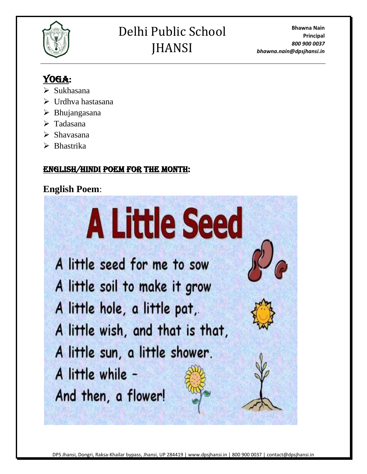

# Delhi Public School **IHANSI**

**Bhawna Nain Principal** *800 900 0037 bhawna.nain@dpsjhansi.in*

# YOGA:

- ➢ Sukhasana
- ➢ Urdhva hastasana
- $\triangleright$  Bhujangasana
- ➢ Tadasana
- ➢ Shavasana
- ➢ Bhastrika

#### English/Hindi poem for the month:

## **English Poem**:



A little soil to make it grow A little hole, a little pat, A little wish, and that is that, A little sun, a little shower. A little while -

And then, a flower!

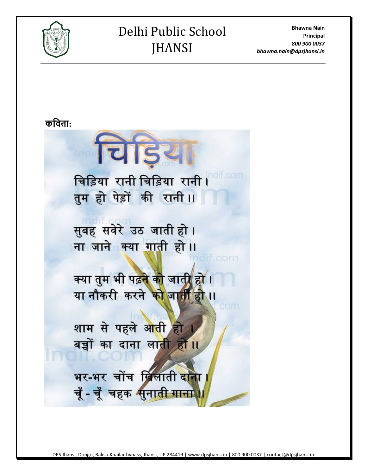

# Delhi Public School **JHANSI**

**Bhawna Nain Principal** *800 900 0037 bhawna.nain@dpsjhansi.in*